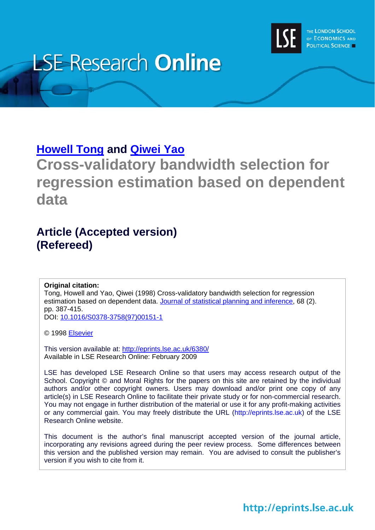

# **LSE Research Online**

# **[Howell Tong](http://www2.lse.ac.uk/researchAndExpertise/Experts/profile.aspx?KeyValue=h.tong@lse.ac.uk) and [Qiwei Yao](http://www2.lse.ac.uk/researchAndExpertise/Experts/profile.aspx?KeyValue=q.yao@lse.ac.uk)**

**Cross-validatory bandwidth selection for regression estimation based on dependent data** 

# **Article (Accepted version) (Refereed)**

**Original citation:** 

Tong, Howell and Yao, Qiwei (1998) Cross-validatory bandwidth selection for regression estimation based on dependent data. [Journal of statistical planning and inference](http://www.elsevier.com/locate/jspi), 68 (2). pp. 387-415.

DOI: [10.1016/S0378-3758\(97\)00151-1](http://dx.doi.org/10.1016/S0378-3758(97)00151-1)

© 1998 [Elsevier](http://www.elsevier.com/)

This version available at:<http://eprints.lse.ac.uk/6380/> Available in LSE Research Online: February 2009

LSE has developed LSE Research Online so that users may access research output of the School. Copyright © and Moral Rights for the papers on this site are retained by the individual authors and/or other copyright owners. Users may download and/or print one copy of any article(s) in LSE Research Online to facilitate their private study or for non-commercial research. You may not engage in further distribution of the material or use it for any profit-making activities or any commercial gain. You may freely distribute the URL (http://eprints.lse.ac.uk) of the LSE Research Online website.

This document is the author's final manuscript accepted version of the journal article, incorporating any revisions agreed during the peer review process. Some differences between this version and the published version may remain. You are advised to consult the publisher's version if you wish to cite from it.

http://eprints.lse.ac.uk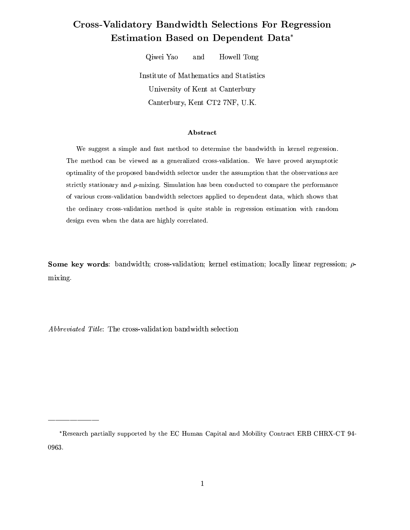# **Cross-Validatory Bandwidth Selections For Regression** Estimation Based on Dependent Data\*

Qiwei Yao Howell Tong and

Institute of Mathematics and Statistics University of Kent at Canterbury Canterbury, Kent CT2 7NF, U.K.

### Abstract

We suggest a simple and fast method to determine the bandwidth in kernel regression. The method can be viewed as a generalized cross-validation. We have proved asymptotic optimality of the proposed bandwidth selector under the assumption that the observations are strictly stationary and  $\rho$ -mixing. Simulation has been conducted to compare the performance of various cross-validation bandwidth selectors applied to dependent data, which shows that the ordinary cross-validation method is quite stable in regression estimation with random design even when the data are highly correlated.

**Some key words:** bandwidth; cross-validation; kernel estimation; locally linear regression;  $\rho$ mixing.

Abbreviated Title: The cross-validation bandwidth selection

<sup>\*</sup>Research partially supported by the EC Human Capital and Mobility Contract ERB CHRX-CT 94-0963.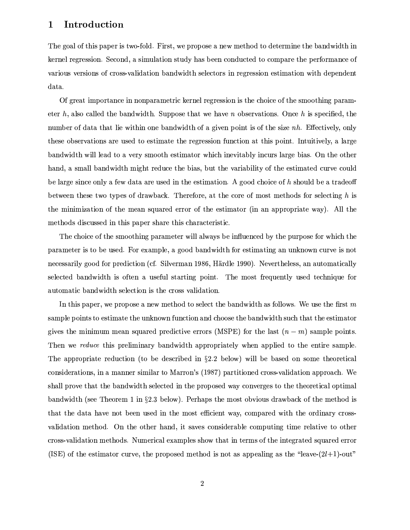#### Introduction  $\mathbf 1$

The goal of this paper is two-fold. First, we propose a new method to determine the bandwidth in kernel regression. Second, a simulation study has been conducted to compare the performance of various versions of cross-validation bandwidth selectors in regression estimation with dependent data.

Of great importance in nonparametric kernel regression is the choice of the smoothing parameter h, also called the bandwidth. Suppose that we have n observations. Once h is specified, the number of data that lie within one bandwidth of a given point is of the size nh. Effectively, only these observations are used to estimate the regression function at this point. Intuitively, a large bandwidth will lead to a very smooth estimator which inevitably incurs large bias. On the other hand, a small bandwidth might reduce the bias, but the variability of the estimated curve could be large since only a few data are used in the estimation. A good choice of  $h$  should be a tradeoff between these two types of drawback. Therefore, at the core of most methods for selecting h is the minimization of the mean squared error of the estimator (in an appropriate way). All the methods discussed in this paper share this characteristic.

The choice of the smoothing parameter will always be influenced by the purpose for which the parameter is to be used. For example, a good bandwidth for estimating an unknown curve is not necessarily good for prediction (cf. Silverman 1986, Härdle 1990). Nevertheless, an automatically selected bandwidth is often a useful starting point. The most frequently used technique for automatic bandwidth selection is the cross validation.

In this paper, we propose a new method to select the bandwidth as follows. We use the first  $m$ sample points to estimate the unknown function and choose the bandwidth such that the estimator gives the minimum mean squared predictive errors (MSPE) for the last  $(n-m)$  sample points. Then we reduce this preliminary bandwidth appropriately when applied to the entire sample. The appropriate reduction (to be described in  $\S 2.2$  below) will be based on some theoretical considerations, in a manner similar to Marron's (1987) partitioned cross-validation approach. We shall prove that the bandwidth selected in the proposed way converges to the theoretical optimal bandwidth (see Theorem 1 in  $\S2.3$  below). Perhaps the most obvious drawback of the method is that the data have not been used in the most efficient way, compared with the ordinary crossvalidation method. On the other hand, it saves considerable computing time relative to other cross-validation methods. Numerical examples show that in terms of the integrated squared error (ISE) of the estimator curve, the proposed method is not as appealing as the "leave- $(2l+1)$ -out"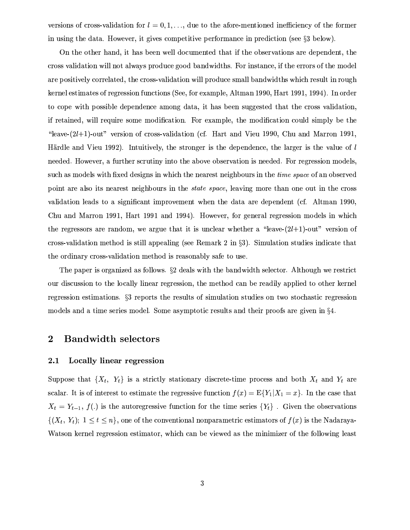versions of cross-validation for  $l = 0, 1, \ldots$ , due to the afore-mentioned inefficiency of the former in using the data. However, it gives competitive performance in prediction (see  $\S 3$  below).

On the other hand, it has been well documented that if the observations are dependent, the cross validation will not always produce good bandwidths. For instance, if the errors of the model are positively correlated, the cross-validation will produce small bandwidths which result in rough kernel estimates of regression functions (See, for example, Altman 1990, Hart 1991, 1994). In order to cope with possible dependence among data, it has been suggested that the cross validation, if retained, will require some modification. For example, the modification could simply be the "leave- $(2l+1)$ -out" version of cross-validation (cf. Hart and Vieu 1990, Chu and Marron 1991, Härdle and Vieu 1992). Intuitively, the stronger is the dependence, the larger is the value of l needed. However, a further scrutiny into the above observation is needed. For regression models, such as models with fixed designs in which the nearest neighbours in the *time space* of an observed point are also its nearest neighbours in the *state space*, leaving more than one out in the cross validation leads to a significant improvement when the data are dependent (cf. Altman 1990, Chu and Marron 1991, Hart 1991 and 1994). However, for general regression models in which the regressors are random, we argue that it is unclear whether a "leave- $(2l+1)$ -out" version of cross-validation method is still appealing (see Remark 2 in §3). Simulation studies indicate that the ordinary cross-validation method is reasonably safe to use.

The paper is organized as follows.  $\S$ 2 deals with the bandwidth selector. Although we restrict our discussion to the locally linear regression, the method can be readily applied to other kernel regression estimations. §3 reports the results of simulation studies on two stochastic regression models and a time series model. Some asymptotic results and their proofs are given in §4.

#### $\boldsymbol{2}$ **Bandwidth selectors**

#### **Locally linear regression**  $2.1$

Suppose that  $\{X_t, Y_t\}$  is a strictly stationary discrete-time process and both  $X_t$  and  $Y_t$  are scalar. It is of interest to estimate the regressive function  $f(x) = E{Y_1|X_1 = x}$ . In the case that  $X_t = Y_{t-1}$ ,  $f(.)$  is the autoregressive function for the time series  $\{Y_t\}$ . Given the observations  $\{(X_t, Y_t); 1 \le t \le n\}$ , one of the conventional nonparametric estimators of  $f(x)$  is the Nadaraya Watson kernel regression estimator, which can be viewed as the minimizer of the following least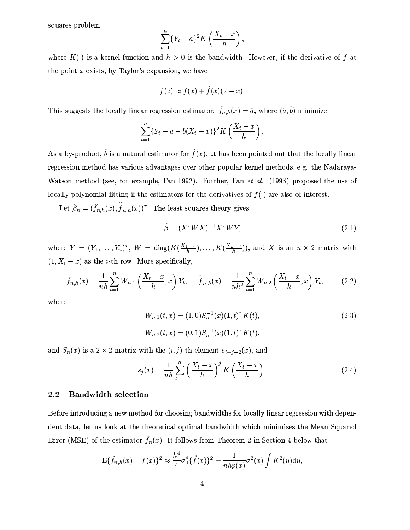squares problem

$$
\sum_{t=1}^n \{Y_t-a\}^2 K\left(\frac{X_t-x}{h}\right),\,
$$

where  $K(.)$  is a kernel function and  $h > 0$  is the bandwidth. However, if the derivative of f at the point  $x$  exists, by Taylor's expansion, we have

$$
f(z) \approx f(x) + \dot{f}(x)(z - x).
$$

This suggests the locally linear regression estimator:  $\hat{f}_{n,h}(x) = \hat{a}$ , where  $(\hat{a}, \hat{b})$  minimize

$$
\sum_{t=1}^{n} \{Y_t - a - b(X_t - x)\}^2 K\left(\frac{X_t - x}{h}\right).
$$

As a by-product,  $\hat{b}$  is a natural estimator for  $\dot{f}(x)$ . It has been pointed out that the locally linear regression method has various advantages over other popular kernel methods, e.g. the Nadaraya-Watson method (see, for example, Fan 1992). Further, Fan et al. (1993) proposed the use of locally polynomial fitting if the estimators for the derivatives of  $f(.)$  are also of interest.

Let  $\hat{\beta}_n = (\hat{f}_{n,h}(x), \hat{f}_{n,h}(x))^{\tau}$ . The least squares theory gives

$$
\hat{\beta} = (X^{\tau}WX)^{-1}X^{\tau}WY,\tag{2.1}
$$

where  $Y = (Y_1, \ldots, Y_n)^{\tau}$ ,  $W = \text{diag}(K(\frac{X_1 - x}{h}), \ldots, K(\frac{X_n - x}{h}))$ , and X is an  $n \times 2$  matrix with  $(1, X_i - x)$  as the *i*-th row. More specifically,

$$
\hat{f}_{n,h}(x) = \frac{1}{nh} \sum_{t=1}^{n} W_{n,1} \left( \frac{X_t - x}{h}, x \right) Y_t, \quad \hat{f}_{n,h}(x) = \frac{1}{nh^2} \sum_{t=1}^{n} W_{n,2} \left( \frac{X_t - x}{h}, x \right) Y_t, \quad (2.2)
$$

where

$$
W_{n,1}(t,x) = (1,0)S_n^{-1}(x)(1,t)^{\tau} K(t),
$$
  
\n
$$
W_{n,2}(t,x) = (0,1)S_n^{-1}(x)(1,t)^{\tau} K(t),
$$
\n(2.3)

and  $S_n(x)$  is a 2 × 2 matrix with the  $(i, j)$ -th element  $s_{i+j-2}(x)$ , and

$$
s_j(x) = \frac{1}{nh} \sum_{t=1}^n \left(\frac{X_t - x}{h}\right)^j K\left(\frac{X_t - x}{h}\right). \tag{2.4}
$$

#### $2.2$ **Bandwidth selection**

Before introducing a new method for choosing bandwidths for locally linear regression with dependent data, let us look at the theoretical optimal bandwidth which minimizes the Mean Squared Error (MSE) of the estimator  $\hat{f}_n(x)$ . It follows from Theorem 2 in Section 4 below that

$$
E{\hat{f}_{n,h}(x) - f(x)}^2 \approx \frac{h^4}{4}\sigma_0^4{\{\hat{f}(x)\}}^2 + \frac{1}{nhp(x)}\sigma^2(x)\int K^2(u)\mathrm{d}u,
$$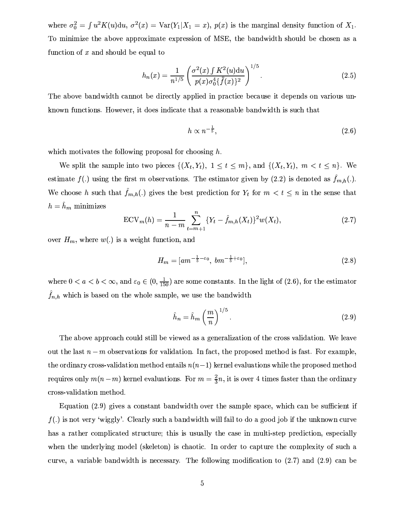where  $\sigma_0^2 = \int u^2 K(u) \mathrm{d}u$ ,  $\sigma^2(x) = \text{Var}(Y_1 | X_1 = x)$ ,  $p(x)$  is the marginal density function of  $X_1$ . To minimize the above approximate expression of MSE, the bandwidth should be chosen as a function of  $x$  and should be equal to

$$
h_n(x) = \frac{1}{n^{1/5}} \left( \frac{\sigma^2(x) \int K^2(u) \mathrm{d}u}{p(x)\sigma_0^4 \{\ddot{f}(x)\}^2} \right)^{1/5} . \tag{2.5}
$$

The above bandwidth cannot be directly applied in practice because it depends on various unknown functions. However, it does indicate that a reasonable bandwidth is such that

$$
h \propto n^{-\frac{1}{5}},\tag{2.6}
$$

which motivates the following proposal for choosing  $h$ .

We split the sample into two pieces  $\{(X_t,Y_t), 1 \le t \le m\}$ , and  $\{(X_t,Y_t), m < t \le n\}$ . We estimate  $f(.)$  using the first m observations. The estimator given by (2.2) is denoted as  $\hat{f}_{m,h}(.)$ . We choose h such that  $\hat{f}_{m,h}(\cdot)$  gives the best prediction for  $Y_t$  for  $m < t \leq n$  in the sense that  $h = \hat{h}_m$  minimizes

$$
ECV_m(h) = \frac{1}{n-m} \sum_{t=m+1}^{n} \{Y_t - \hat{f}_{m,h}(X_t)\}^2 w(X_t),
$$
\n(2.7)

over  $H_m$ , where  $w(.)$  is a weight function, and

$$
H_m = [am^{-\frac{1}{5}-\varepsilon_0}, bm^{-\frac{1}{5}+\varepsilon_0}], \qquad (2.8)
$$

where  $0 < a < b < \infty$ , and  $\varepsilon_0 \in (0, \frac{1}{150})$  are some constants. In the light of (2.6), for the estimator  $f_{n,h}$  which is based on the whole sample, we use the bandwidth

$$
\hat{h}_n = \hat{h}_m \left(\frac{m}{n}\right)^{1/5}.\tag{2.9}
$$

The above approach could still be viewed as a generalization of the cross validation. We leave out the last  $n-m$  observations for validation. In fact, the proposed method is fast. For example, the ordinary cross-validation method entails  $n(n-1)$  kernel evaluations while the proposed method requires only  $m(n-m)$  kernel evaluations. For  $m=\frac{2}{3}n$ , it is over 4 times faster than the ordinary cross-validation method.

Equation (2.9) gives a constant bandwidth over the sample space, which can be sufficient if  $f(.)$  is not very 'wiggly'. Clearly such a bandwidth will fail to do a good job if the unknown curve has a rather complicated structure; this is usually the case in multi-step prediction, especially when the underlying model (skeleton) is chaotic. In order to capture the complexity of such a curve, a variable bandwidth is necessary. The following modification to  $(2.7)$  and  $(2.9)$  can be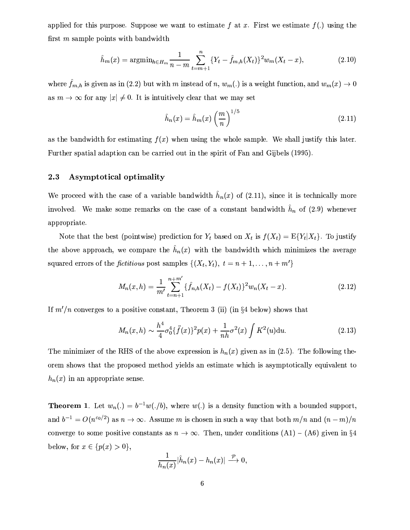applied for this purpose. Suppose we want to estimate f at x. First we estimate  $f(.)$  using the first m sample points with bandwidth

$$
\hat{h}_m(x) = \operatorname{argmin}_{h \in H_m} \frac{1}{n-m} \sum_{t=m+1}^n \{Y_t - \hat{f}_{m,h}(X_t)\}^2 w_m(X_t - x),\tag{2.10}
$$

where  $\hat{f}_{m,h}$  is given as in (2.2) but with m instead of n,  $w_m(.)$  is a weight function, and  $w_m(x) \to 0$ as  $m \to \infty$  for any  $|x| \neq 0$ . It is intuitively clear that we may set

$$
\hat{h}_n(x) = \hat{h}_m(x) \left(\frac{m}{n}\right)^{1/5} \tag{2.11}
$$

as the bandwidth for estimating  $f(x)$  when using the whole sample. We shall justify this later. Further spatial adaption can be carried out in the spirit of Fan and Gijbels (1995).

#### Asymptotical optimality 2.3

We proceed with the case of a variable bandwidth  $\hat{h}_n(x)$  of (2.11), since it is technically more involved. We make some remarks on the case of a constant bandwidth  $\hat{h}_n$  of (2.9) whenever appropriate.

Note that the best (pointwise) prediction for  $Y_t$  based on  $X_t$  is  $f(X_t) = E{Y_t | X_t}$ . To justify the above approach, we compare the  $\hat{h}_n(x)$  with the bandwidth which minimizes the average squared errors of the *fictitious* post samples  $\{(X_t, Y_t), t = n + 1, ..., n + m'\}$ 

$$
M_n(x,h) = \frac{1}{m'} \sum_{t=n+1}^{n+m'} \{\hat{f}_{n,h}(X_t) - f(X_t)\}^2 w_n(X_t - x).
$$
 (2.12)

If  $m'/n$  converges to a positive constant, Theorem 3 (ii) (in §4 below) shows that

$$
M_n(x,h) \sim \frac{h^4}{4} \sigma_0^4 \{\ddot{f}(x)\}^2 p(x) + \frac{1}{nh} \sigma^2(x) \int K^2(u) \mathrm{d}u. \tag{2.13}
$$

The minimizer of the RHS of the above expression is  $h_n(x)$  given as in (2.5). The following theorder shows that the proposed method yields an estimate which is asymptotically equivalent to  $h_n(x)$  in an appropriate sense.

**Theorem 1.** Let  $w_n(.) = b^{-1}w(.b)$ , where  $w(.)$  is a density function with a bounded support, and  $b^{-1} = O(n^{\varepsilon_0/2})$  as  $n \to \infty$ . Assume m is chosen in such a way that both  $m/n$  and  $(n-m)/n$ converge to some positive constants as  $n \to \infty$ . Then, under conditions (A1) - (A6) given in §4 below, for  $x \in \{p(x) > 0\},\$ 

$$
\frac{1}{h_n(x)}|\hat{h}_n(x)-h_n(x)|\stackrel{\mathcal{P}}{\longrightarrow}0.
$$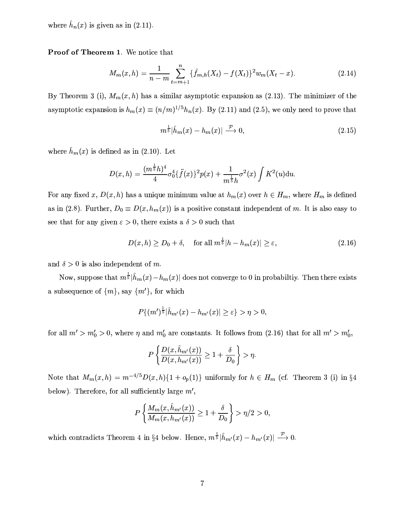where  $\hat{h}_n(x)$  is given as in (2.11).

Proof of Theorem 1. We notice that

$$
M_m(x,h) = \frac{1}{n-m} \sum_{t=m+1}^n \{\hat{f}_{m,h}(X_t) - f(X_t)\}^2 w_m(X_t - x). \tag{2.14}
$$

By Theorem 3 (i),  $M_m(x, h)$  has a similar asymptotic expansion as (2.13). The minimizer of the asymptotic expansion is  $h_m(x) \equiv (n/m)^{1/5} h_n(x)$ . By (2.11) and (2.5), we only need to prove that

$$
m^{\frac{1}{5}}|\hat{h}_m(x) - h_m(x)| \xrightarrow{\mathcal{P}} 0, \qquad (2.15)
$$

where  $\hat{h}_m(x)$  is defined as in (2.10). Let

$$
D(x,h) = \frac{(m^{\frac{1}{5}}h)^4}{4}\sigma_0^4\{\ddot{f}(x)\}^2 p(x) + \frac{1}{m^{\frac{1}{5}}h}\sigma^2(x)\int K^2(u) \mathrm{d}u.
$$

For any fixed x,  $D(x, h)$  has a unique minimum value at  $h_m(x)$  over  $h \in H_m$ , where  $H_m$  is defined as in (2.8). Further,  $D_0 \equiv D(x, h_m(x))$  is a positive constant independent of m. It is also easy to see that for any given  $\varepsilon > 0$ , there exists a  $\delta > 0$  such that

$$
D(x,h) \ge D_0 + \delta, \quad \text{for all } m^{\frac{1}{5}}|h - h_m(x)| \ge \varepsilon,
$$
\n
$$
(2.16)
$$

and  $\delta > 0$  is also independent of m.

Now, suppose that  $m^{\frac{1}{5}}|\hat{h}_m(x)-h_m(x)|$  does not converge to 0 in probabiltiy. Then there exists a subsequence of  $\{m\}$ , say  $\{m'\}$ , for which

$$
P\{(m')^{\frac{1}{5}}|\hat{h}_{m'}(x)-h_{m'}(x)|\geq \varepsilon\}>\eta>0,
$$

for all  $m' > m_0' > 0$ , where  $\eta$  and  $m_0'$  are constants. It follows from (2.16) that for all  $m' > m_0'$ .

$$
P\left\{\frac{D(x,\hat{h}_{m'}(x))}{D(x,h_{m'}(x))} \ge 1 + \frac{\delta}{D_0}\right\} > \eta
$$

Note that  $M_m(x, h) = m^{-4/5} D(x, h) \{1 + o_p(1)\}\$  uniformly for  $h \in H_m$  (cf. Theorem 3 (i) in §4 below). Therefore, for all sufficiently large  $m'$ ,

$$
P\left\{\frac{M_m(x, \hat{h}_{m'}(x))}{M_m(x, h_{m'}(x))} \ge 1 + \frac{\delta}{D_0}\right\} > \eta/2 > 0,
$$

which contradicts Theorem 4 in §4 below. Hence,  $m^{\frac{1}{5}}|\hat{h}_{m'}(x)-h_{m'}(x)| \stackrel{\mathcal{P}}{\longrightarrow} 0$ .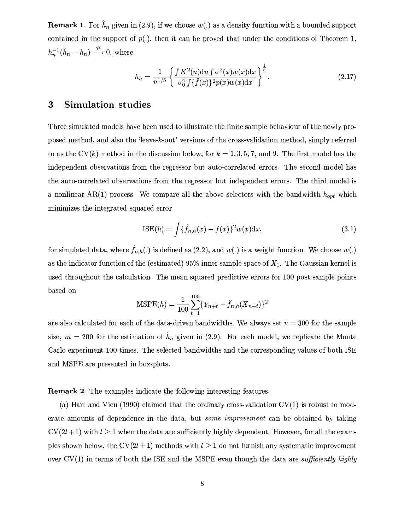**Remark 1.** For  $h_n$  given in (2.9), if we choose  $w(.)$  as a density function with a bounded support contained in the support of  $p(.)$ , then it can be proved that under the conditions of Theorem 1,  $h_n^{-1}(\hat{h}_n - h_n) \xrightarrow{\mathcal{P}} 0$ , where

$$
h_n = \frac{1}{n^{1/5}} \left\{ \frac{\int K^2(u) \, du \int \sigma^2(x) w(x) \, dx}{\sigma_0^4 \int \{ \ddot{f}(x) \}^2 p(x) w(x) \, dx} \right\}^{\frac{1}{5}}.
$$
\n(2.17)

#### **Simulation studies**  $\boldsymbol{3}$

Three simulated models have been used to illustrate the finite sample behaviour of the newly proposed method, and also the 'leave-k-out' versions of the cross-validation method, simply referred to as the CV(k) method in the discussion below, for  $k = 1, 3, 5, 7$ , and 9. The first model has the independent observations from the regressor but auto-correlated errors. The second model has the auto-correlated observations from the regressor but independent errors. The third model is a nonlinear AR(1) process. We compare all the above selectors with the bandwidth  $h_{opt}$  which minimizes the integrated squared error

$$
ISE(h) = \int {\{\hat{f}_{n,h}(x) - f(x)\}^2 w(x) dx},
$$
\n(3.1)

for simulated data, where  $\hat{f}_{n,h}(.)$  is defined as (2.2), and  $w(.)$  is a weight function. We choose  $w(.)$ as the indicator function of the (estimated) 95% inner sample space of  $X_1$ . The Gaussian kernel is used throughout the calculation. The mean squared predictive errors for 100 post sample points based on

$$
\text{MSPE}(h) = \frac{1}{100} \sum_{t=1}^{100} \{ Y_{n+t} - \hat{f}_{n,h}(X_{n+t}) \}^2
$$

are also calculated for each of the data-driven bandwidths. We always set  $n = 300$  for the sample size,  $m = 200$  for the estimation of  $\hat{h}_n$  given in (2.9). For each model, we replicate the Monte Carlo experiment 100 times. The selected bandwidths and the corresponding values of both ISE and MSPE are presented in box-plots.

### **Remark 2.** The examples indicate the following interesting features.

(a) Hart and Vieu (1990) claimed that the ordinary cross-validation  $CV(1)$  is robust to moderate amounts of dependence in the data, but *some improvement* can be obtained by taking  $CV(2l + 1)$  with  $l \geq 1$  when the data are sufficiently highly dependent. However, for all the examples shown below, the CV(2l+1) methods with  $l \geq 1$  do not furnish any systematic improvement over  $CV(1)$  in terms of both the ISE and the MSPE even though the data are sufficiently highly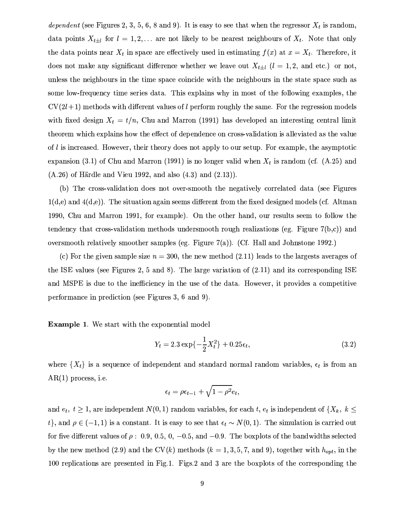dependent (see Figures 2, 3, 5, 6, 8 and 9). It is easy to see that when the regressor  $X_t$  is random, data points  $X_{t\pm l}$  for  $l = 1, 2, ...$  are not likely to be nearest neighbours of  $X_t$ . Note that only the data points near  $X_t$  in space are effectively used in estimating  $f(x)$  at  $x = X_t$ . Therefore, it does not make any significant difference whether we leave out  $X_{t\pm l}$  ( $l=1,2$ , and etc.) or not, unless the neighbours in the time space coincide with the neighbours in the state space such as some low-frequency time series data. This explains why in most of the following examples, the  $CV(2l+1)$  methods with different values of l perform roughly the same. For the regression models with fixed design  $X_t = t/n$ , Chu and Marron (1991) has developed an interesting central limit theorem which explains how the effect of dependence on cross-validation is alleviated as the value of  $l$  is increased. However, their theory does not apply to our setup. For example, the asymptotic expansion (3.1) of Chu and Marron (1991) is no longer valid when  $X_t$  is random (cf. (A.25) and  $(A.26)$  of Härdle and Vieu 1992, and also  $(4.3)$  and  $(2.13)$ .

(b) The cross-validation does not over-smooth the negatively correlated data (see Figures  $1(d,e)$  and  $4(d,e)$ ). The situation again seems different from the fixed designed models (cf. Altman 1990, Chu and Marron 1991, for example). On the other hand, our results seem to follow the tendency that cross-validation methods undersmooth rough realizations (eg. Figure  $7(b,c)$ ) and oversmooth relatively smoother samples (eg. Figure 7(a)). (Cf. Hall and Johnstone 1992.)

(c) For the given sample size  $n = 300$ , the new method (2.11) leads to the largests averages of the ISE values (see Figures 2, 5 and 8). The large variation of  $(2.11)$  and its corresponding ISE and MSPE is due to the inefficiency in the use of the data. However, it provides a competitive performance in prediction (see Figures 3, 6 and 9).

**Example 1.** We start with the exponential model

$$
Y_t = 2.3 \exp\{-\frac{1}{2}X_t^2\} + 0.25\epsilon_t,
$$
\n(3.2)

where  $\{X_t\}$  is a sequence of independent and standard normal random variables,  $\epsilon_t$  is from an  $AR(1)$  process, i.e.

$$
\epsilon_t = \rho \epsilon_{t-1} + \sqrt{1 - \rho^2} e_t,
$$

and  $e_t$ ,  $t \geq 1$ , are independent  $N(0, 1)$  random variables, for each t,  $e_t$  is independent of  $\{X_k, k \leq$  $t$ , and  $\rho \in (-1,1)$  is a constant. It is easy to see that  $\epsilon_t \sim N(0,1)$ . The simulation is carried out for five different values of  $\rho$ : 0.9, 0.5, 0, -0.5, and -0.9. The boxplots of the bandwidths selected by the new method (2.9) and the CV(k) methods ( $k = 1, 3, 5, 7,$  and 9), together with  $h_{opt}$ , in the 100 replications are presented in Fig.1. Figs.2 and 3 are the boxplots of the corresponding the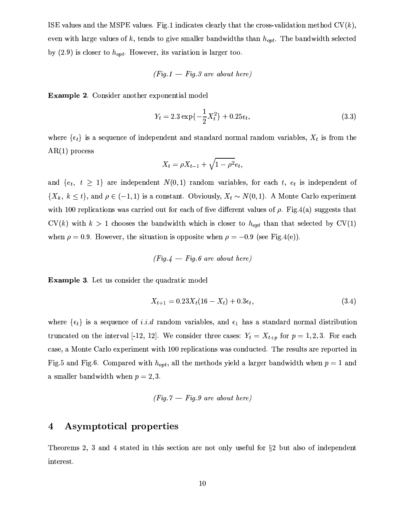ISE values and the MSPE values. Fig.1 indicates clearly that the cross-validation method  $CV(k)$ , even with large values of k, tends to give smaller bandwidths than  $h_{opt}$ . The bandwidth selected by  $(2.9)$  is closer to  $h_{opt}$ . However, its variation is larger too.

$$
(Fig.1 - Fig.3\,\,are\,\,about\,\,here)
$$

Example 2. Consider another exponential model

$$
Y_t = 2.3 \exp\{-\frac{1}{2}X_t^2\} + 0.25\epsilon_t,
$$
\n(3.3)

where  $\{\epsilon_t\}$  is a sequence of independent and standard normal random variables,  $X_t$  is from the  $AR(1)$  process

$$
X_t = \rho X_{t-1} + \sqrt{1 - \rho^2} e_t,
$$

and  $\{e_t, t \geq 1\}$  are independent  $N(0,1)$  random variables, for each t,  $e_t$  is independent of  $\{X_k, k \leq t\}$ , and  $\rho \in (-1,1)$  is a constant. Obviously,  $X_t \sim N(0,1)$ . A Monte Carlo experiment with 100 replications was carried out for each of five different values of  $\rho$ . Fig. 4(a) suggests that  $CV(k)$  with  $k > 1$  chooses the bandwidth which is closer to  $h_{opt}$  than that selected by  $CV(1)$ when  $\rho = 0.9$ . However, the situation is opposite when  $\rho = -0.9$  (see Fig.4(e)).

$$
(\mathit{Fig.4}\, - \mathit{Fig.6}\,\, are\,\, about\,\, here)}
$$

**Example 3.** Let us consider the quadratic model

$$
X_{t+1} = 0.23X_t(16 - X_t) + 0.3\epsilon_t, \tag{3.4}
$$

where  $\{\epsilon_t\}$  is a sequence of *i.i.d* random variables, and  $\epsilon_1$  has a standard normal distribution truncated on the interval [-12, 12]. We consider three cases:  $Y_t = X_{t+p}$  for  $p = 1, 2, 3$ . For each case, a Monte Carlo experiment with 100 replications was conducted. The results are reported in Fig.5 and Fig.6. Compared with  $h_{opt}$ , all the methods yield a larger bandwidth when  $p = 1$  and a smaller bandwidth when  $p = 2, 3$ .

$$
(Fig. 7 - Fig. 9 are about here)
$$

#### $\boldsymbol{4}$ Asymptotical properties

Theorems 2, 3 and 4 stated in this section are not only useful for  $\S$ 2 but also of independent interest.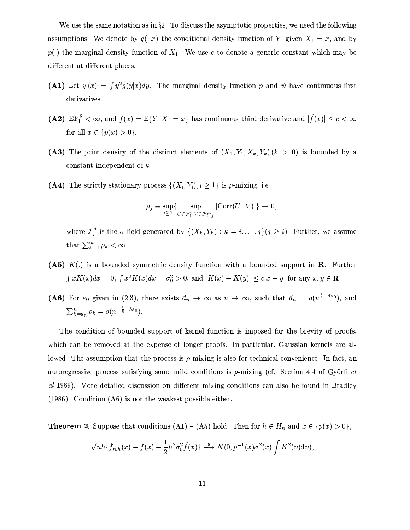We use the same notation as in  $\S 2$ . To discuss the asymptotic properties, we need the following assumptions. We denote by  $g(.|x)$  the conditional density function of  $Y_1$  given  $X_1 = x$ , and by  $p(.)$  the marginal density function of  $X_1$ . We use c to denote a generic constant which may be different at different places.

- (A1) Let  $\psi(x) = \int y^2 g(y|x) dy$ . The marginal density function p and  $\psi$  have continuous first derivatives.
- (A2)  $EY_1^8 < \infty$ , and  $f(x) = E{Y_1|X_1 = x}$  has continuous third derivative and  $|\ddot{f}(x)| \leq c < \infty$ for all  $x \in \{p(x) > 0\}.$
- (A3) The joint density of the distinct elements of  $(X_1, Y_1, X_k, Y_k)$   $(k > 0)$  is bounded by a constant independent of  $k$ .
- (A4) The strictly stationary process  $\{(X_i, Y_i), i \geq 1\}$  is  $\rho$ -mixing, i.e.

$$
\rho_j \equiv \sup_{i \geq 1} \{ \sup_{U \in \mathcal{F}_1^i, V \in \mathcal{F}_{i+j}^{\infty}} |\text{Corr}(U, V)| \} \to 0,
$$

where  $\mathcal{F}_i^j$  is the  $\sigma$ -field generated by  $\{(X_k, Y_k) : k = i, ..., j\}$   $(j \geq i)$ . Further, we assume that  $\sum_{k=1}^{\infty} \rho_k < \infty$ 

- (A5)  $K(.)$  is a bounded symmetric density function with a bounded support in **R**. Further  $\int xK(x)dx = 0$ ,  $\int x^2K(x)dx = \sigma_0^2 > 0$ , and  $|K(x) - K(y)| \le c|x - y|$  for any  $x, y \in \mathbb{R}$ .
- (A6) For  $\varepsilon_0$  given in (2.8), there exists  $d_n \to \infty$  as  $n \to \infty$ , such that  $d_n = o(n^{\frac{1}{5} 4\varepsilon_0})$ , and  $\sum_{k=d_n}^{n} \rho_k = o(n^{-\frac{1}{5}-5\varepsilon_0}).$

The condition of bounded support of kernel function is imposed for the brevity of proofs, which can be removed at the expense of longer proofs. In particular, Gaussian kernels are allowed. The assumption that the process is  $\rho$ -mixing is also for technical convenience. In fact, an autoregressive process satisfying some mild conditions is  $\rho$ -mixing (cf. Section 4.4 of Győrfi *et* al 1989). More detailed discussion on different mixing conditions can also be found in Bradley  $(1986)$ . Condition  $(46)$  is not the weakest possible either.

**Theorem 2**. Suppose that conditions  $(A1) - (A5)$  hold. Then for  $h \in H_n$  and  $x \in \{p(x) > 0\},\$ 

$$
\sqrt{nh}\{\widehat{f}_{n,h}(x)-f(x)-\frac{1}{2}h^2\sigma_0^2\widetilde{f}(x)\} \stackrel{d}{\longrightarrow} N(0,p^{-1}(x)\sigma^2(x)\int K^2(u)\mathrm{d}u),
$$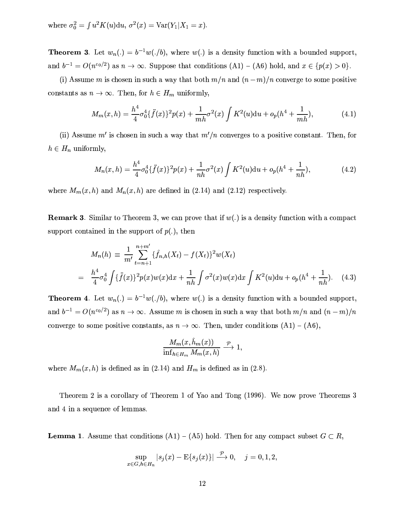where  $\sigma_0^2 = \int u^2 K(u) \, du$ ,  $\sigma^2(x) = \text{Var}(Y_1 | X_1 = x)$ .

**Theorem 3**. Let  $w_n(.) = b^{-1}w(.b)$ , where  $w(.)$  is a density function with a bounded support, and  $b^{-1} = O(n^{\varepsilon_0/2})$  as  $n \to \infty$ . Suppose that conditions  $(A1) - (A6)$  hold, and  $x \in \{p(x) > 0\}.$ 

(i) Assume m is chosen in such a way that both  $m/n$  and  $(n-m)/n$  converge to some positive constants as  $n \to \infty$ . Then, for  $h \in H_m$  uniformly,

$$
M_m(x,h) = \frac{h^4}{4}\sigma_0^4 \{\ddot{f}(x)\}^2 p(x) + \frac{1}{mh}\sigma^2(x) \int K^2(u) \mathrm{d}u + o_p(h^4 + \frac{1}{mh}),\tag{4.1}
$$

(ii) Assume  $m'$  is chosen in such a way that  $m'/n$  converges to a positive constant. Then, for  $h \in H_n$  uniformly,

$$
M_n(x,h) = \frac{h^4}{4}\sigma_0^4\{\ddot{f}(x)\}^2 p(x) + \frac{1}{nh}\sigma^2(x)\int K^2(u)du + o_p(h^4 + \frac{1}{nh}),\tag{4.2}
$$

where  $M_m(x, h)$  and  $M_n(x, h)$  are defined in (2.14) and (2.12) respectively.

**Remark 3.** Similar to Theorem 3, we can prove that if  $w(.)$  is a density function with a compact support contained in the support of  $p(.)$ , then

$$
M_n(h) \equiv \frac{1}{m'} \sum_{t=n+1}^{n+m'} \{\hat{f}_{n,h}(X_t) - f(X_t)\}^2 w(X_t)
$$
  
= 
$$
\frac{h^4}{4} \sigma_0^4 \int {\{\hat{f}(x)\}^2 p(x) w(x) dx} + \frac{1}{nh} \int \sigma^2(x) w(x) dx \int K^2(u) du + o_p(h^4 + \frac{1}{nh}).
$$
 (4.3)

**Theorem 4.** Let  $w_n(.) = b^{-1}w(.b)$ , where  $w(.)$  is a density function with a bounded support, and  $b^{-1} = O(n^{\varepsilon_0/2})$  as  $n \to \infty$ . Assume m is chosen in such a way that both  $m/n$  and  $(n-m)/n$ converge to some positive constants, as  $n \to \infty$ . Then, under conditions  $(A1) - (A6)$ .

$$
\frac{M_m(x, h_m(x))}{\inf_{h \in H_m} M_m(x, h)} \xrightarrow{\mathcal{P}} 1,
$$

where  $M_m(x, h)$  is defined as in (2.14) and  $H_m$  is defined as in (2.8).

 $\equiv$ 

Theorem 2 is a corollary of Theorem 1 of Yao and Tong (1996). We now prove Theorems 3 and 4 in a sequence of lemmas.

**Lemma 1.** Assume that conditions (A1) – (A5) hold. Then for any compact subset  $G \subset R$ ,

$$
\sup_{x \in G, h \in H_n} |s_j(x) - \mathbb{E}\{s_j(x)\}| \stackrel{\mathcal{P}}{\longrightarrow} 0, \quad j = 0, 1, 2,
$$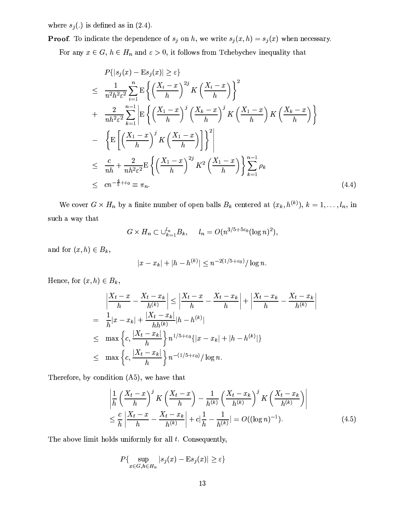where  $s_j(.)$  is defined as in (2.4).

**Proof.** To indicate the dependence of  $s_j$  on h, we write  $s_j(x, h) = s_j(x)$  when necessary.

For any  $x \in G$ ,  $h \in H_n$  and  $\varepsilon > 0$ , it follows from Tchebychev inequality that

$$
P\{|s_j(x) - Es_j(x)| \ge \varepsilon\}
$$
  
\n
$$
\leq \frac{1}{n^2h^2\varepsilon^2} \sum_{i=1}^n \mathbb{E}\left\{ \left(\frac{X_i - x}{h}\right)^{2j} K \left(\frac{X_i - x}{h}\right) \right\}^2
$$
  
\n
$$
+ \frac{2}{nh^2\varepsilon^2} \sum_{k=1}^{n-1} \mathbb{E}\left\{ \left(\frac{X_1 - x}{h}\right)^j \left(\frac{X_k - x}{h}\right)^j K \left(\frac{X_1 - x}{h}\right) K \left(\frac{X_k - x}{h}\right) \right\}
$$
  
\n
$$
- \left\{ \mathbb{E}\left[ \left(\frac{X_1 - x}{h}\right)^j K \left(\frac{X_1 - x}{h}\right) \right] \right\}^2 \right\}
$$
  
\n
$$
\leq \frac{c}{nh} + \frac{2}{nh^2\varepsilon^2} \mathbb{E}\left\{ \left(\frac{X_1 - x}{h}\right)^{2j} K^2 \left(\frac{X_1 - x}{h}\right) \right\} \sum_{k=1}^{n-1} \rho_k
$$
  
\n
$$
\leq cn^{-\frac{4}{5} + \varepsilon_0} \equiv \pi_n.
$$
 (4.4)

We cover  $G \times H_n$  by a finite number of open balls  $B_k$  centered at  $(x_k, h^{(k)})$ ,  $k = 1, \ldots, l_n$ , in  $\rm such~a$  way that

$$
G \times H_n \subset \bigcup_{k=1}^{l_n} B_k, \quad l_n = O(n^{3/5 + 5\varepsilon_0} (\log n)^2),
$$

and for  $(x, h) \in B_k$ ,

$$
|x - x_k| + |h - h^{(k)}| \le n^{-2(1/5 + \varepsilon_0)} / \log n.
$$

Hence, for  $(x, h) \in B_k$ ,

$$
\left| \frac{X_t - x}{h} - \frac{X_t - x_k}{h^{(k)}} \right| \le \left| \frac{X_t - x}{h} - \frac{X_t - x_k}{h} \right| + \left| \frac{X_t - x_k}{h} - \frac{X_t - x_k}{h^{(k)}} \right|
$$
  
\n
$$
= \frac{1}{h} |x - x_k| + \frac{|X_t - x_k|}{h h^{(k)}} |h - h^{(k)}|
$$
  
\n
$$
\le \max \left\{ c, \frac{|X_t - x_k|}{h} \right\} n^{1/5 + \epsilon_0} \{ |x - x_k| + |h - h^{(k)}| \}
$$
  
\n
$$
\le \max \left\{ c, \frac{|X_t - x_k|}{h} \right\} n^{-(1/5 + \epsilon_0)} / \log n.
$$

Therefore, by condition  $(A5)$ , we have that

$$
\left| \frac{1}{h} \left( \frac{X_t - x}{h} \right)^j K \left( \frac{X_t - x}{h} \right) - \frac{1}{h^{(k)}} \left( \frac{X_t - x_k}{h^{(k)}} \right)^j K \left( \frac{X_t - x_k}{h^{(k)}} \right) \right|
$$
\n
$$
\leq \frac{c}{h} \left| \frac{X_t - x}{h} - \frac{X_t - x_k}{h^{(k)}} \right| + c \left| \frac{1}{h} - \frac{1}{h^{(k)}} \right| = O((\log n)^{-1}). \tag{4.5}
$$

The above limit holds uniformly for all  $t$ . Consequently,

$$
P\{\sup_{x \in G, h \in H_n} |s_j(x) - \mathbb{E}s_j(x)| \ge \varepsilon\}
$$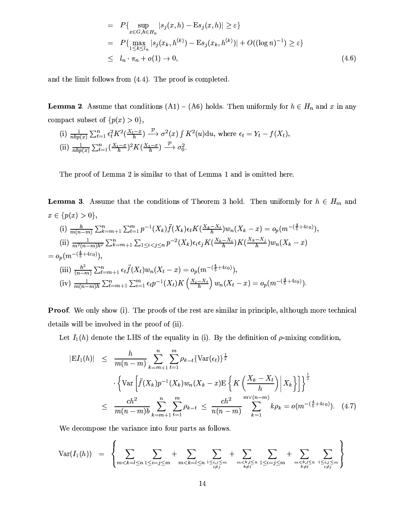$$
= P\{\sup_{x \in G, h \in H_n} |s_j(x, h) - Es_j(x, h)| \ge \varepsilon\}
$$
  
\n
$$
= P\{\max_{1 \le k \le l_n} |s_j(x_k, h^{(k)}) - Es_j(x_k, h^{(k)})| + O((\log n)^{-1}) \ge \varepsilon\}
$$
  
\n
$$
\le l_n \cdot \pi_n + o(1) \to 0,
$$
\n(4.6)

and the limit follows from  $(4.4)$ . The proof is completed.

**Lemma 2.** Assume that conditions (A1) – (A6) holds. Then uniformly for  $h \in H_n$  and x in any compact subset of  $\{p(x) > 0\},\$ 

(i) 
$$
\frac{1}{nhp(x)} \sum_{t=1}^{n} \epsilon_t^2 K^2(\frac{X_t - x}{h}) \xrightarrow{\mathcal{P}} \sigma^2(x) \int K^2(u) \, du
$$
, where  $\epsilon_t = Y_t - f(X_t)$ .  
\n(ii)  $\frac{1}{nhp(x)} \sum_{t=1}^{n} (\frac{X_t - x}{h})^2 K(\frac{X_t - x}{h}) \xrightarrow{\mathcal{P}} \sigma_0^2$ .

The proof of Lemma 2 is similar to that of Lemma 1 and is omitted here.

**Lemma 3.** Assume that the conditions of Theorem 3 hold. Then uniformly for  $h \in H_m$  and  $x \in \{p(x) > 0\},\$ (i)  $\frac{h}{m(n-m)}\sum_{k=m+1}^{n}\sum_{t=1}^{m}p^{-1}(X_{k})\ddot{f}(X_{k})\epsilon_{t}K(\frac{X_{k}-X_{t}}{h})w_{n}(X_{k}-x)=o_{p}(m^{-(\frac{4}{5}+4\varepsilon_{0})}).$ (ii)  $\frac{1}{m^2(n-m)h^2} \sum_{k=m+1}^n \sum_{1 \leq i < j \leq n} p^{-2}(X_k) \epsilon_i \epsilon_j K(\frac{X_k - X_i}{h}) K(\frac{X_k - X_j}{h}) w_n(X_k - x)$  $= o_p(m^{-(\frac{4}{5}+4\varepsilon_0)})$ (iii)  $\frac{h^2}{(n-m)} \sum_{t=m+1}^n \epsilon_t \ddot{f}(X_t) w_n(X_t - x) = o_p(m^{-(\frac{4}{5} + 4\varepsilon_0)})$ (iv)  $\frac{1}{m(n-m)h} \sum_{t=m+1}^{n} \sum_{i=1}^{m} \epsilon_t p^{-1}(X_t) K\left(\frac{X_i - X_t}{h}\right) w_n(X_t - x) = o_p(m^{-\left(\frac{4}{5} + 4\varepsilon_0\right)}).$ 

**Proof.** We only show (i). The proofs of the rest are similar in principle, although more technical details will be involved in the proof of (ii).

Let  $I_1(h)$  denote the LHS of the equality in (i). By the definition of  $\rho$ -mixing condition.

$$
|E I_1(h)| \leq \frac{h}{m(n-m)} \sum_{k=m+1}^{n} \sum_{t=1}^{m} \rho_{k-t} \{ \text{Var}(\epsilon_t) \}^{\frac{1}{2}}
$$

$$
\cdot \left\{ \text{Var} \left[ \ddot{f}(X_k) p^{-1}(X_k) w_n (X_k - x) \mathbb{E} \left\{ K \left( \frac{X_k - X_t}{h} \right) \mid X_k \right\} \right] \right\}^{\frac{1}{2}}
$$

$$
\leq \frac{ch^2}{m(n-m)b} \sum_{k=m+1}^{n} \sum_{t=1}^{m} \rho_{k-t} \leq \frac{ch^2}{n(n-m)} \sum_{k=1}^{m \vee (n-m)} k \rho_k = o(m^{-(\frac{4}{5} + 4\varepsilon_0)}). \quad (4.7)
$$

We decompose the variance into four parts as follows.

$$
\text{Var}(I_1(h)) = \left\{ \sum_{m < k = l \le n} \sum_{1 \le i < j \le m} + \sum_{m < k = l \le n} \sum_{1 \le i, j \le m \atop i \ne j} + \sum_{m < k, l \le n \atop k \ne l} \sum_{1 \le i < j \le m \atop k \ne l} + \sum_{m < k, l \le n \atop k \ne l} \sum_{1 \le i, j \le m \atop k \ne l} \right\}
$$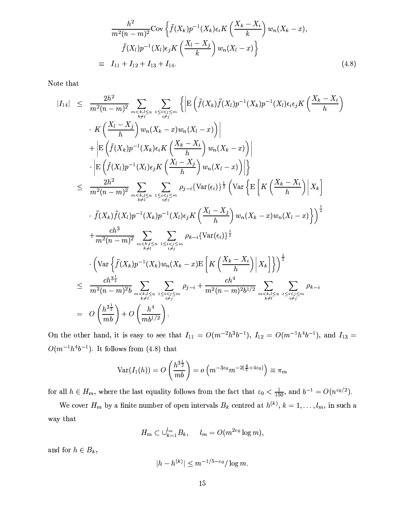$$
\frac{h^2}{m^2(n-m)^2} \text{Cov}\left\{\ddot{f}(X_k)p^{-1}(X_k)\epsilon_i K\left(\frac{X_k-X_i}{k}\right)w_n(X_k-x),\right\}
$$
\n
$$
\ddot{f}(X_l)p^{-1}(X_l)\epsilon_j K\left(\frac{X_l-X_j}{k}\right)w_n(X_l-x)\right\}
$$
\n
$$
\equiv I_{11} + I_{12} + I_{13} + I_{14}.\tag{4.8}
$$

Note that

$$
|I_{14}| \leq \frac{2h^2}{m^2(n-m)^2} \sum_{\substack{m \leq k, l \leq n \\ k \neq l}} \sum_{\substack{1 \leq i < j \leq m \\ i \neq j}} \left\{ \left| E\left(\tilde{f}(X_k)\tilde{f}(X_l)p^{-1}(X_k)p^{-1}(X_l)\epsilon_i\epsilon_j K\left(\frac{X_k - X_i}{h}\right) \right) \right\} \right\} + \left| E\left(\tilde{f}(X_k)p^{-1}(X_k)\epsilon_i K\left(\frac{X_k - X_i}{h}\right) w_n(X_k - x) \right) \right| + \left| E\left(\tilde{f}(X_k)p^{-1}(X_k)\epsilon_i K\left(\frac{X_k - X_i}{h}\right) w_n(X_k - x) \right) \right| - \left| E\left(\tilde{f}(X_l)p^{-1}(X_l)\epsilon_j K\left(\frac{X_l - X_j}{h}\right) w_n(X_l - x) \right) \right| \right\} 
$$
\leq \frac{2h^2}{m^2(n-m)^2} \sum_{\substack{m \leq k, l \leq n \\ m \neq l}} \sum_{\substack{1 \leq i < j \leq m \\ i \neq j}} \rho_{j-i} \left\{ \text{Var}\left\{ \epsilon \left[ K\left(\frac{X_k - X_i}{h}\right) \right] X_k \right\} \right. - \left. \tilde{f}(X_k)\tilde{f}(X_l)p^{-1}(X_k)p^{-1}(X_l)\epsilon_j K\left(\frac{X_l - X_j}{h}\right) w_n(X_k - x) w_n(X_l - x) \right\} \right\}^{\frac{1}{2}} + \frac{ch^3}{m^2(n-m)^2} \sum_{\substack{m \leq k, l \leq n \\ m \neq l}} \sum_{\substack{1 \leq i < j \leq m \\ i \neq j}} \rho_{k-i} \left\{ \text{Var}\left\{ \left[ X_k\right] p^{-1}(X_k) w_n(X_k - x) E\left[ K\left(\frac{X_k - X_i}{h}\right) \right] X_k \right] \right\} \right)^{\frac{1}{2}} 
$$
\leq \frac{ch^3 \frac{1}{2}}{m^2(n-m)^2 b} \sum_{\substack{m \leq k, l \leq n \\ k \neq l}} \sum_{\substack{1 \leq i < j
$$
$$
$$

On the other hand, it is easy to see that  $I_{11} = O(m^{-2}h^{3}b^{-1})$ ,  $I_{12} = O(m^{-1}h^{4}b^{-1})$ , and  $I_{13} =$  $O(m^{-1}h^4b^{-1})$  It follows from (4.8) that

$$
\text{Var}(I_1(h)) = O\left(\frac{h^{3\frac{1}{2}}}{mb}\right) = o\left(m^{-3\varepsilon_0}m^{-2\left(\frac{4}{5}+4\varepsilon_0\right)}\right) \equiv \pi_m
$$

for all  $h \in H_m$ , where the last equality follows from the fact that  $\varepsilon_0 < \frac{1}{150}$ , and  $b^{-1} = O(n^{\varepsilon_0/2})$ .

We cover  $H_m$  by a finite number of open intervals  $B_k$  centred at  $h^{(k)}$ ,  $k = 1, \ldots, l_m$ , in such a way that

$$
H_m \subset \bigcup_{k=1}^{l_m} B_k, \quad l_m = O(m^{2\epsilon_0} \log m),
$$

and for  $h \in B_k$ ,

$$
|h - h^{(k)}| \le m^{-1/5 - \varepsilon_0} / \log m.
$$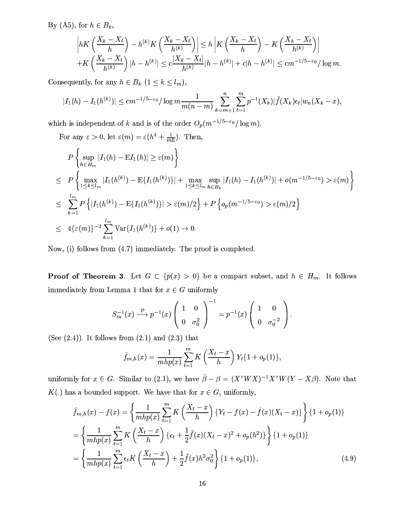By (A5), for  $h \in B_k$ ,

$$
\left| hK\left(\frac{X_k - X_t}{h}\right) - h^{(k)}K\left(\frac{X_k - X_t}{h^{(k)}}\right) \right| \le h \left| K\left(\frac{X_k - X_t}{h}\right) - K\left(\frac{X_k - X_t}{h^{(k)}}\right) \right|
$$
  
+
$$
K\left(\frac{X_k - X_t}{h^{(k)}}\right) |h - h^{(k)}| \le c \frac{|X_k - X_t|}{h^{(k)}} |h - h^{(k)}| + c|h - h^{(k)}| \le cm^{-1/5 - \varepsilon_0} / \log m.
$$

Consequently, for any  $h\in B_k$   $(1\leq k\leq l_m),$ 

$$
|I_1(h) - I_1(h^{(k)})| \le cm^{-1/5-\varepsilon_0}/\log m \frac{1}{m(n-m)} \sum_{k=m+1}^n \sum_{t=1}^m p^{-1}(X_k) |\ddot{f}(X_k) \epsilon_t| w_n(X_k - x),
$$

which is independent of k and is of the order  $O_p(m^{-1/5-\varepsilon_0}/\log m)$ .

For any  $\varepsilon > 0$ , let  $\varepsilon(m) = \varepsilon(h^4 + \frac{1}{mh})$ . Then,

$$
P\left\{\sup_{h\in H_m}|I_1(h) - \mathbf{E}I_1(h)| \ge \varepsilon(m)\right\}
$$
  
\n
$$
\le P\left\{\max_{1\le k\le l_m}|I_1(h^{(k)}) - \mathbf{E}\{I_1(h^{(k)})\}| + \max_{1\le k\le l_m}\sup_{h\in B_k}|I_1(h) - I_1(h^{(k)})| + o(m^{-1/5-\varepsilon_0}) > \varepsilon(m)\right\}
$$
  
\n
$$
\le \sum_{k=1}^{l_m} P\left\{|I_1(h^{(k)}) - \mathbf{E}\{I_1(h^{(k)})\}| > \varepsilon(m)/2\right\} + P\left\{o_p(m^{-1/5-\varepsilon_0}) > \varepsilon(m)/2\right\}
$$
  
\n
$$
\le 4\{\varepsilon(m)\}^{-2}\sum_{k=1}^{l_m} \text{Var}\{I_1(h^{(k)})\} + o(1) \to 0.
$$

Now, (i) follows from  $(4.7)$  immediately. The proof is completed.

**Proof of Theorem 3.** Let  $G \subset \{p(x) > 0\}$  be a compact subset, and  $h \in H_m$ . It follows immediately from Lemma 1 that for  $x \in G$  uniformly

$$
S_m^{-1}(x) \xrightarrow{\mathcal{P}} p^{-1}(x) \left( \begin{array}{cc} 1 & 0 \\ 0 & \sigma_0^2 \end{array} \right)^{-1} = p^{-1}(x) \left( \begin{array}{cc} 1 & 0 \\ 0 & \sigma_0^{-2} \end{array} \right).
$$

(See  $(2.4)$ ). It follows from  $(2.1)$  and  $(2.3)$  that

$$
\hat{f}_{m,h}(x) = \frac{1}{mhp(x)} \sum_{t=1}^{m} K\left(\frac{X_t - x}{h}\right) Y_t \{1 + o_p(1)\},\
$$

uniformly for  $x \in G$ . Similar to (2.1), we have  $\hat{\beta} - \beta = (X^{\tau}WX)^{-1}X^{\tau}W(Y - X\beta)$ . Note that  $K(.)$  has a bounded support. We have that for  $x \in G$ , uniformly,

$$
\hat{f}_{m,h}(x) - f(x) = \left\{ \frac{1}{mhp(x)} \sum_{t=1}^{m} K\left(\frac{X_t - x}{h}\right) \{Y_t - f(x) - f(x)(X_t - x)\} \right\} \{1 + o_p(1)\}
$$
\n
$$
= \left\{ \frac{1}{mhp(x)} \sum_{t=1}^{m} K\left(\frac{X_t - x}{h}\right) \{ \epsilon_t + \frac{1}{2} \ddot{f}(x)(X_t - x)^2 + o_p(h^2) \} \right\} \{1 + o_p(1)\}
$$
\n
$$
= \left\{ \frac{1}{mhp(x)} \sum_{t=1}^{m} \epsilon_t K\left(\frac{X_t - x}{h}\right) + \frac{1}{2} \ddot{f}(x)h^2 \sigma_0^2 \right\} \{1 + o_p(1)\},\tag{4.9}
$$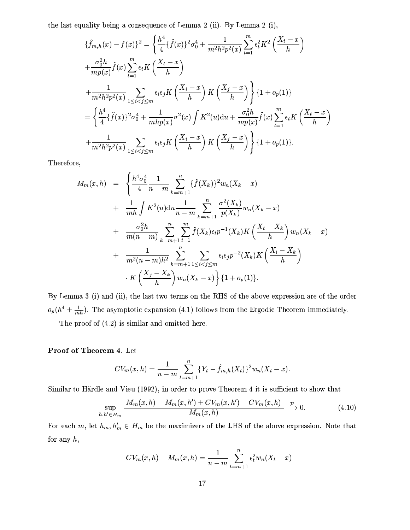the last equality being a consequence of Lemma 2 (ii). By Lemma 2 (i),

$$
\{\hat{f}_{m,h}(x) - f(x)\}^{2} = \left\{\frac{h^{4}}{4}\{\tilde{f}(x)\}^{2}\sigma_{0}^{4} + \frac{1}{m^{2}h^{2}p^{2}(x)}\sum_{t=1}^{m}\epsilon_{t}^{2}K^{2}\left(\frac{X_{t}-x}{h}\right) \right.
$$
  
\n
$$
+\frac{\sigma_{0}^{2}h}{mp(x)}\tilde{f}(x)\sum_{t=1}^{m}\epsilon_{t}K\left(\frac{X_{t}-x}{h}\right)
$$
  
\n
$$
+\frac{1}{m^{2}h^{2}p^{2}(x)}\sum_{1\leq i < j \leq m}\epsilon_{i}\epsilon_{j}K\left(\frac{X_{i}-x}{h}\right)K\left(\frac{X_{j}-x}{h}\right)\right\}\{1+o_{p}(1)\}
$$
  
\n
$$
=\left\{\frac{h^{4}}{4}\{\tilde{f}(x)\}^{2}\sigma_{0}^{4} + \frac{1}{mhp(x)}\sigma^{2}(x)\int K^{2}(u)du + \frac{\sigma_{0}^{2}h}{mp(x)}\tilde{f}(x)\sum_{t=1}^{m}\epsilon_{t}K\left(\frac{X_{t}-x}{h}\right) \right.
$$
  
\n
$$
+\frac{1}{m^{2}h^{2}p^{2}(x)}\sum_{1\leq i < j \leq m}\epsilon_{i}\epsilon_{j}K\left(\frac{X_{i}-x}{h}\right)K\left(\frac{X_{j}-x}{h}\right)\right\}\{1+o_{p}(1)\}.
$$

Therefore,

$$
M_m(x,h) = \left\{ \frac{h^4 \sigma_0^4}{4} \frac{1}{n-m} \sum_{k=m+1}^n \{ \ddot{f}(X_k) \}^2 w_n (X_k - x) \right. \\ + \left. \frac{1}{mh} \int K^2(u) du \frac{1}{n-m} \sum_{k=m+1}^n \frac{\sigma^2(X_k)}{p(X_k)} w_n (X_k - x) \right. \\ + \left. \frac{\sigma_0^2 h}{m(n-m)} \sum_{k=m+1}^n \sum_{t=1}^m \ddot{f}(X_k) \epsilon_t p^{-1}(X_k) K\left(\frac{X_t - X_k}{h}\right) w_n (X_k - x) \right. \\ + \left. \frac{1}{m^2(n-m)h^2} \sum_{k=m+1}^n \sum_{1 \le i < j \le m} \epsilon_i \epsilon_j p^{-2}(X_k) K\left(\frac{X_i - X_k}{h}\right) \right. \\ \left. \cdot K\left(\frac{X_j - X_k}{h}\right) w_n (X_k - x) \right\} \{1 + o_p(1) \}.
$$

By Lemma 3 (i) and (ii), the last two terms on the RHS of the above expression are of the order  $o_p(h^4 + \frac{1}{mh})$ . The asymptotic expansion (4.1) follows from the Ergodic Theorem immediately.

The proof of  $(4.2)$  is similar and omitted here.

### Proof of Theorem 4. Let

$$
CV_m(x, h) = \frac{1}{n-m} \sum_{t=m+1}^{n} \{Y_t - \hat{f}_{m,h}(X_t)\}^2 w_n(X_t - x).
$$

Similar to Härdle and Vieu (1992), in order to prove Theorem 4 it is sufficient to show that

$$
\sup_{h,h' \in H_m} \frac{|M_m(x,h) - M_m(x,h') + CV_m(x,h') - CV_m(x,h)|}{M_m(x,h)} \xrightarrow{\mathcal{P}} 0. \tag{4.10}
$$

For each  $m$ , let  $h_m, h'_m \in H_m$  be the maximizers of the LHS of the above expression. Note that for any  $h$ ,

$$
CV_m(x, h) - M_m(x, h) = \frac{1}{n-m} \sum_{t=m+1}^{n} \epsilon_t^2 w_n (X_t - x)
$$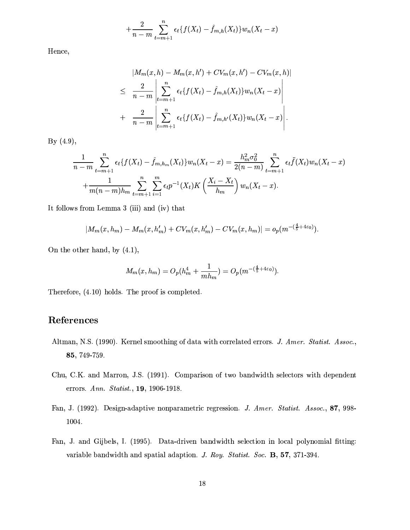$$
+\frac{2}{n-m}\sum_{t=m+1}^{n}\epsilon_t \{f(X_t) - \hat{f}_{m,h}(X_t)\}w_n(X_t - x)
$$

Hence,

$$
|M_m(x, h) - M_m(x, h') + CV_m(x, h') - CV_m(x, h)|
$$
  
\n
$$
\leq \frac{2}{n-m} \left| \sum_{t=m+1}^n \epsilon_t \{ f(X_t) - \hat{f}_{m,h}(X_t) \} w_n(X_t - x) \right|
$$
  
\n
$$
+ \frac{2}{n-m} \left| \sum_{t=m+1}^n \epsilon_t \{ f(X_t) - \hat{f}_{m,h'}(X_t) \} w_n(X_t - x) \right|.
$$

By  $(4.9)$ ,

$$
\frac{1}{n-m} \sum_{t=m+1}^{n} \epsilon_t \{ f(X_t) - \hat{f}_{m,h_m}(X_t) \} w_n(X_t - x) = \frac{h_m^2 \sigma_0^2}{2(n-m)} \sum_{t=m+1}^{n} \epsilon_t \hat{f}(X_t) w_n(X_t - x) + \frac{1}{m(n-m)h_m} \sum_{t=m+1}^{n} \sum_{i=1}^{m} \epsilon_t p^{-1}(X_t) K\left(\frac{X_i - X_t}{h_m}\right) w_n(X_t - x).
$$

It follows from Lemma 3 (iii) and (iv) that

$$
|M_m(x, h_m) - M_m(x, h'_m) + CV_m(x, h'_m) - CV_m(x, h_m)| = o_p(m^{-(\frac{4}{5} + 4\varepsilon_0)}).
$$

On the other hand, by  $(4.1)$ ,

$$
M_m(x, h_m) = O_p(h_m^4 + \frac{1}{mh_m}) = O_p(m^{-(\frac{4}{5} + 4\varepsilon_0)}).
$$

Therefore, (4.10) holds. The proof is completed.

## References

- Altman, N.S. (1990). Kernel smoothing of data with correlated errors. J. Amer. Statist. Assoc., 85, 749-759.
- Chu, C.K. and Marron, J.S. (1991). Comparison of two bandwidth selectors with dependent errors. Ann. Statist., 19, 1906-1918.
- Fan, J. (1992). Design-adaptive nonparametric regression. J. Amer. Statist. Assoc., 87, 998-1004.
- Fan, J. and Gijbels, I. (1995). Data-driven bandwidth selection in local polynomial fitting: variable bandwidth and spatial adaption. J. Roy. Statist. Soc. B, 57, 371-394.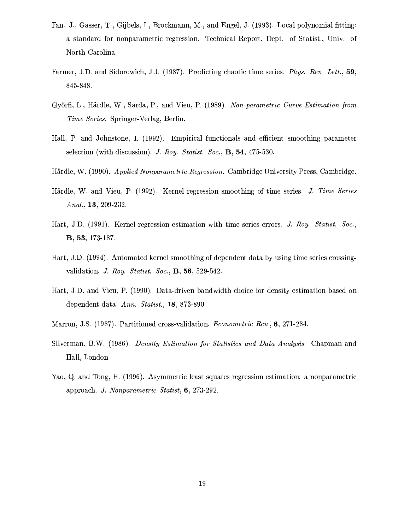- Fan. J., Gasser, T., Gijbels, I., Brockmann, M., and Engel, J. (1993). Local polynomial fitting: a standard for nonparametric regression. Technical Report, Dept. of Statist., Univ. of North Carolina.
- Farmer, J.D. and Sidorowich, J.J. (1987). Predicting chaotic time series. *Phys. Rev. Lett.*, 59, 845-848.
- Győrfi, L., Härdle, W., Sarda, P., and Vieu, P. (1989). Non-parametric Curve Estimation from *Time Series.* Springer-Verlag, Berlin.
- Hall, P. and Johnstone, I. (1992). Empirical functionals and efficient smoothing parameter selection (with discussion). J. Roy. Statist. Soc., B, 54, 475-530.
- Härdle, W. (1990). Applied Nonparametric Regression. Cambridge University Press, Cambridge.
- Härdle, W. and Vieu, P. (1992). Kernel regression smoothing of time series. J. Time Series Anal., 13, 209-232.
- Hart, J.D. (1991). Kernel regression estimation with time series errors. J. Roy. Statist. Soc., **B**, **53**, 173-187.
- Hart, J.D. (1994). Automated kernel smoothing of dependent data by using time series crossingvalidation. J. Roy. Statist. Soc., B, 56, 529-542.
- Hart, J.D. and Vieu, P. (1990). Data-driven bandwidth choice for density estimation based on dependent data. Ann. Statist., 18, 873-890.
- Marron, J.S. (1987). Partitioned cross-validation. *Econometric Rev.*, 6, 271-284.
- Silverman, B.W. (1986). Density Estimation for Statistics and Data Analysis. Chapman and Hall, London.
- Yao, Q. and Tong, H. (1996). Asymmetric least squares regression estimation: a nonparametric approach. J. Nonparametric Statist, 6, 273-292.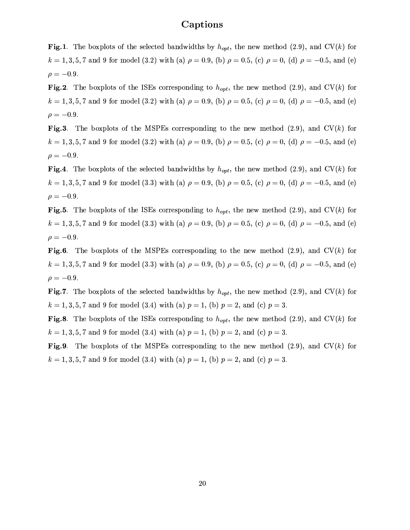### Captions

**Fig.1**. The boxplots of the selected bandwidths by  $h_{opt}$ , the new method (2.9), and CV(k) for  $k = 1, 3, 5, 7$  and 9 for model (3.2) with (a)  $\rho = 0.9$ , (b)  $\rho = 0.5$ , (c)  $\rho = 0$ , (d)  $\rho = -0.5$ , and (e)  $\rho = -0.9$ .

Fig.2. The boxplots of the ISEs corresponding to  $h_{opt}$ , the new method (2.9), and CV(k) for  $k = 1, 3, 5, 7$  and 9 for model (3.2) with (a)  $\rho = 0.9$ , (b)  $\rho = 0.5$ , (c)  $\rho = 0$ , (d)  $\rho = -0.5$ , and (e)  $\rho = -0.9$ .

Fig.3. The boxplots of the MSPEs corresponding to the new method (2.9), and  $CV(k)$  for  $k = 1, 3, 5, 7$  and 9 for model (3.2) with (a)  $\rho = 0.9$ , (b)  $\rho = 0.5$ , (c)  $\rho = 0$ , (d)  $\rho = -0.5$ , and (e)  $\rho = -0.9$ .

Fig.4. The boxplots of the selected bandwidths by  $h_{opt}$ , the new method (2.9), and CV(k) for  $k = 1, 3, 5, 7$  and 9 for model (3.3) with (a)  $\rho = 0.9$ , (b)  $\rho = 0.5$ , (c)  $\rho = 0$ , (d)  $\rho = -0.5$ , and (e)  $\rho = -0.9$ .

**Fig.5**. The boxplots of the ISEs corresponding to  $h_{opt}$ , the new method (2.9), and CV(k) for  $k = 1, 3, 5, 7$  and 9 for model (3.3) with (a)  $\rho = 0.9$ , (b)  $\rho = 0.5$ , (c)  $\rho = 0$ , (d)  $\rho = -0.5$ , and (e)  $\rho = -0.9$ .

Fig.6. The boxplots of the MSPEs corresponding to the new method  $(2.9)$ , and  $CV(k)$  for  $k = 1, 3, 5, 7$  and 9 for model (3.3) with (a)  $\rho = 0.9$ , (b)  $\rho = 0.5$ , (c)  $\rho = 0$ , (d)  $\rho = -0.5$ , and (e)  $\rho = -0.9$ .

Fig.7. The boxplots of the selected bandwidths by  $h_{opt}$ , the new method (2.9), and CV(k) for  $k = 1, 3, 5, 7$  and 9 for model (3.4) with (a)  $p = 1$ , (b)  $p = 2$ , and (c)  $p = 3$ .

**Fig.8**. The boxplots of the ISEs corresponding to  $h_{opt}$ , the new method (2.9), and CV(k) for  $k = 1, 3, 5, 7$  and 9 for model (3.4) with (a)  $p = 1$ , (b)  $p = 2$ , and (c)  $p = 3$ .

**Fig.9.** The boxplots of the MSPEs corresponding to the new method  $(2.9)$ , and  $CV(k)$  for  $k = 1, 3, 5, 7$  and 9 for model (3.4) with (a)  $p = 1$ , (b)  $p = 2$ , and (c)  $p = 3$ .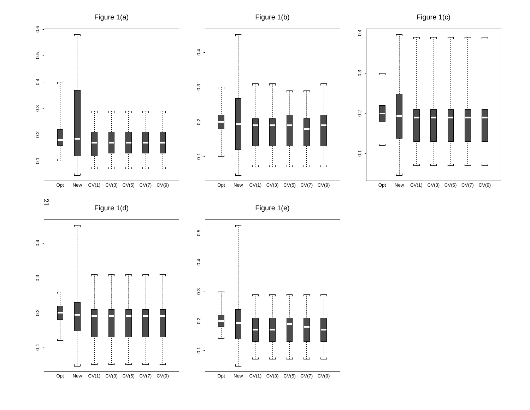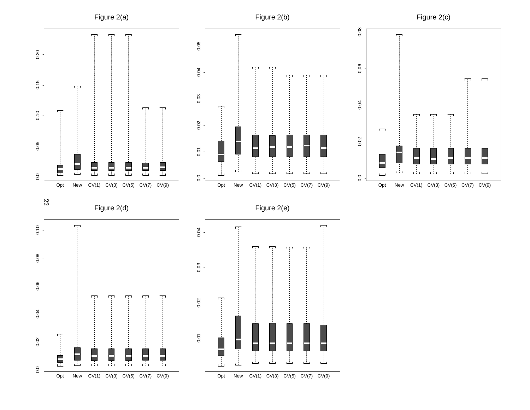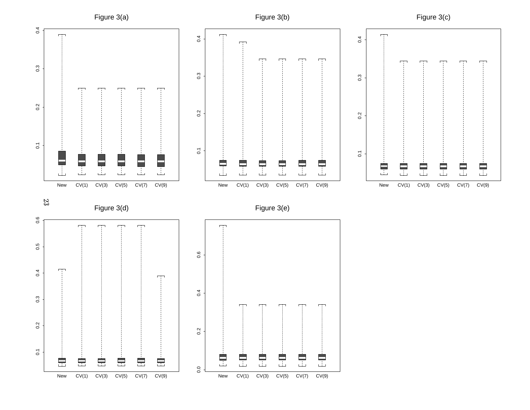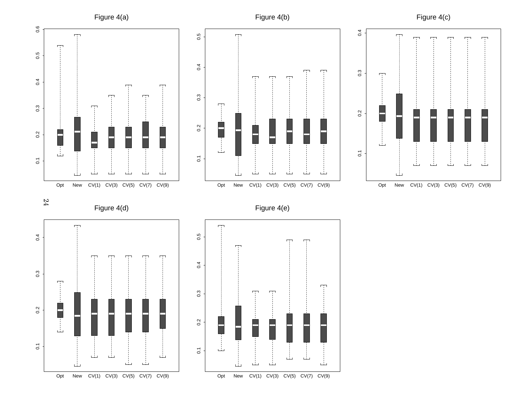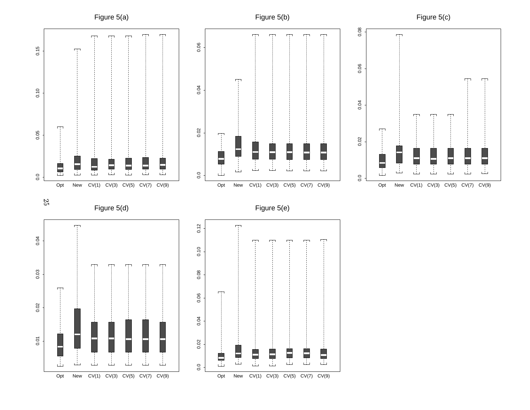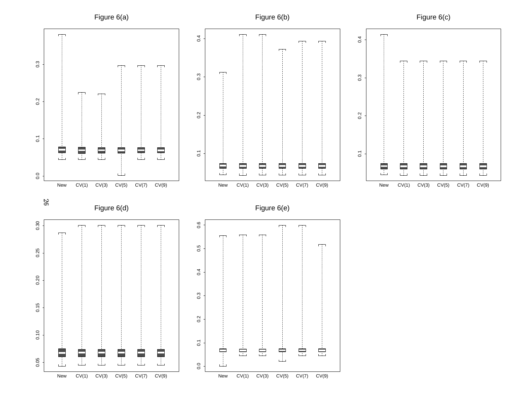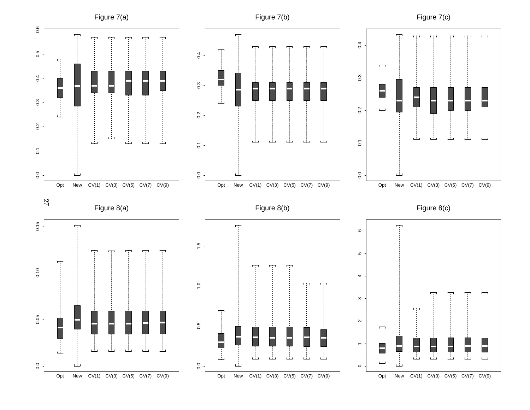